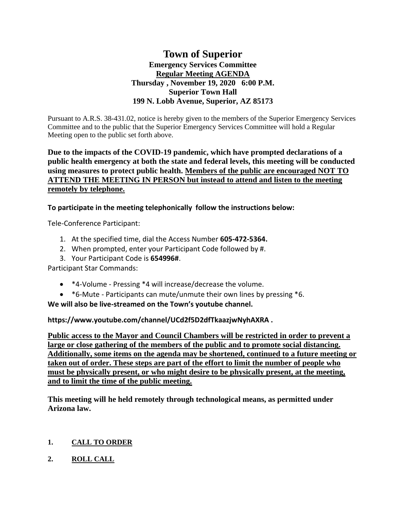# **Town of Superior Emergency Services Committee Regular Meeting AGENDA Thursday , November 19, 2020 6:00 P.M. Superior Town Hall 199 N. Lobb Avenue, Superior, AZ 85173**

Pursuant to A.R.S. 38-431.02, notice is hereby given to the members of the Superior Emergency Services Committee and to the public that the Superior Emergency Services Committee will hold a Regular Meeting open to the public set forth above.

## **Due to the impacts of the COVID-19 pandemic, which have prompted declarations of a public health emergency at both the state and federal levels, this meeting will be conducted using measures to protect public health. Members of the public are encouraged NOT TO ATTEND THE MEETING IN PERSON but instead to attend and listen to the meeting remotely by telephone.**

**To participate in the meeting telephonically follow the instructions below:**

Tele-Conference Participant:

- 1. At the specified time, dial the Access Number **605-472-5364.**
- 2. When prompted, enter your Participant Code followed by #.
- 3. Your Participant Code is **654996#**.

Participant Star Commands:

- \*4-Volume Pressing \*4 will increase/decrease the volume.
- \*6-Mute Participants can mute/unmute their own lines by pressing \*6.

**We will also be live-streamed on the Town's youtube channel.** 

**https://www.youtube.com/channel/UCd2f5D2dfTkaazjwNyhAXRA .** 

**Public access to the Mayor and Council Chambers will be restricted in order to prevent a large or close gathering of the members of the public and to promote social distancing. Additionally, some items on the agenda may be shortened, continued to a future meeting or taken out of order. These steps are part of the effort to limit the number of people who must be physically present, or who might desire to be physically present, at the meeting, and to limit the time of the public meeting.**

**This meeting will he held remotely through technological means, as permitted under Arizona law.**

## **1. CALL TO ORDER**

**2. ROLL CALL**